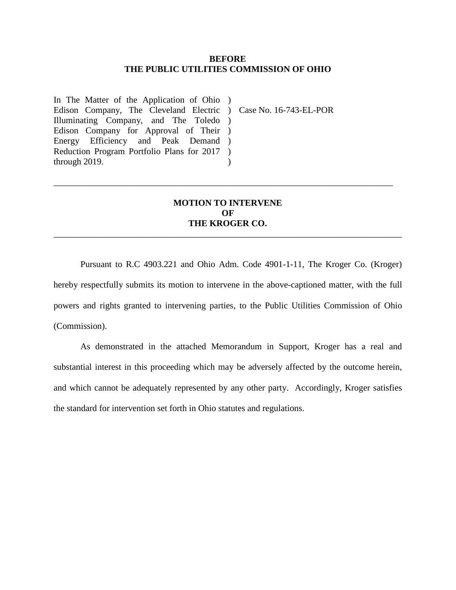#### **BEFORE THE PUBLIC UTILITIES COMMISSION OF OHIO**

In The Matter of the Application of Ohio ) Edison Company, The Cleveland Electric ) Case No. 16-743-EL-POR Illuminating Company, and The Toledo ) Edison Company for Approval of Their ) Energy Efficiency and Peak Demand ) Reduction Program Portfolio Plans for 2017 ) through 2019.  $\lambda$ 

# **MOTION TO INTERVENE OF THE KROGER CO.**

\_\_\_\_\_\_\_\_\_\_\_\_\_\_\_\_\_\_\_\_\_\_\_\_\_\_\_\_\_\_\_\_\_\_\_\_\_\_\_\_\_\_\_\_\_\_\_\_\_\_\_\_\_\_\_\_\_\_\_\_\_\_\_\_\_\_\_\_\_\_\_\_\_\_\_\_\_\_

\_\_\_\_\_\_\_\_\_\_\_\_\_\_\_\_\_\_\_\_\_\_\_\_\_\_\_\_\_\_\_\_\_\_\_\_\_\_\_\_\_\_\_\_\_\_\_\_\_\_\_\_\_\_\_\_\_\_\_\_\_\_\_\_\_\_\_\_\_\_\_\_\_\_\_\_

Pursuant to R.C 4903.221 and Ohio Adm. Code 4901-1-11, The Kroger Co. (Kroger) hereby respectfully submits its motion to intervene in the above-captioned matter, with the full powers and rights granted to intervening parties, to the Public Utilities Commission of Ohio (Commission).

 As demonstrated in the attached Memorandum in Support, Kroger has a real and substantial interest in this proceeding which may be adversely affected by the outcome herein, and which cannot be adequately represented by any other party. Accordingly, Kroger satisfies the standard for intervention set forth in Ohio statutes and regulations.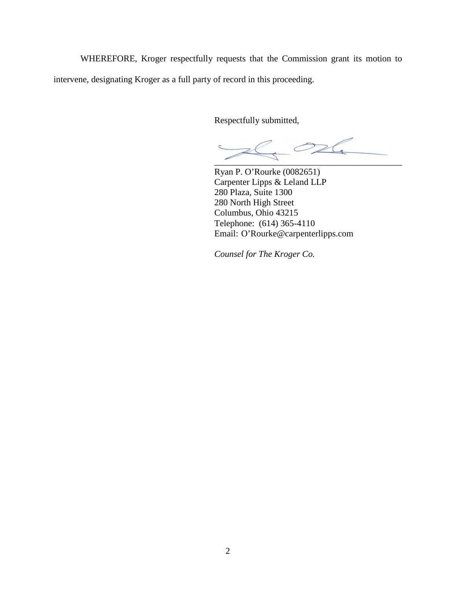WHEREFORE, Kroger respectfully requests that the Commission grant its motion to intervene, designating Kroger as a full party of record in this proceeding.

Respectfully submitted,

 $\overline{\phantom{a}}$ 

Ryan P. O'Rourke (0082651) Carpenter Lipps & Leland LLP 280 Plaza, Suite 1300 280 North High Street Columbus, Ohio 43215 Telephone: (614) 365-4110 Email: O'Rourke@carpenterlipps.com

*Counsel for The Kroger Co.*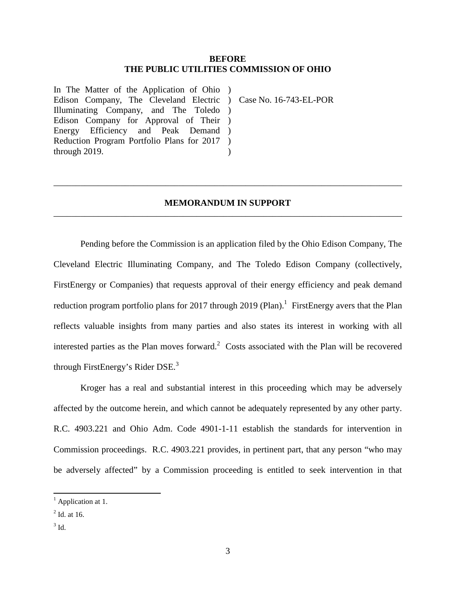### **BEFORE THE PUBLIC UTILITIES COMMISSION OF OHIO**

In The Matter of the Application of Ohio ) Edison Company, The Cleveland Electric ) Case No. 16-743-EL-POR Illuminating Company, and The Toledo ) Edison Company for Approval of Their ) Energy Efficiency and Peak Demand ) Reduction Program Portfolio Plans for 2017 ) through 2019.  $\lambda$ 

# **MEMORANDUM IN SUPPORT**  \_\_\_\_\_\_\_\_\_\_\_\_\_\_\_\_\_\_\_\_\_\_\_\_\_\_\_\_\_\_\_\_\_\_\_\_\_\_\_\_\_\_\_\_\_\_\_\_\_\_\_\_\_\_\_\_\_\_\_\_\_\_\_\_\_\_\_\_\_\_\_\_\_\_\_\_\_\_

\_\_\_\_\_\_\_\_\_\_\_\_\_\_\_\_\_\_\_\_\_\_\_\_\_\_\_\_\_\_\_\_\_\_\_\_\_\_\_\_\_\_\_\_\_\_\_\_\_\_\_\_\_\_\_\_\_\_\_\_\_\_\_\_\_\_\_\_\_\_\_\_\_\_\_\_\_\_

Pending before the Commission is an application filed by the Ohio Edison Company, The Cleveland Electric Illuminating Company, and The Toledo Edison Company (collectively, FirstEnergy or Companies) that requests approval of their energy efficiency and peak demand reduction program portfolio plans for 2017 through 2019 (Plan).<sup>1</sup> FirstEnergy avers that the Plan reflects valuable insights from many parties and also states its interest in working with all interested parties as the Plan moves forward.<sup>2</sup> Costs associated with the Plan will be recovered through FirstEnergy's Rider DSE.<sup>3</sup>

Kroger has a real and substantial interest in this proceeding which may be adversely affected by the outcome herein, and which cannot be adequately represented by any other party. R.C. 4903.221 and Ohio Adm. Code 4901-1-11 establish the standards for intervention in Commission proceedings. R.C. 4903.221 provides, in pertinent part, that any person "who may be adversely affected" by a Commission proceeding is entitled to seek intervention in that

 $\overline{a}$ 

<sup>&</sup>lt;sup>1</sup> Application at 1.

 $<sup>2</sup>$  Id. at 16.</sup>

 $3$  Id.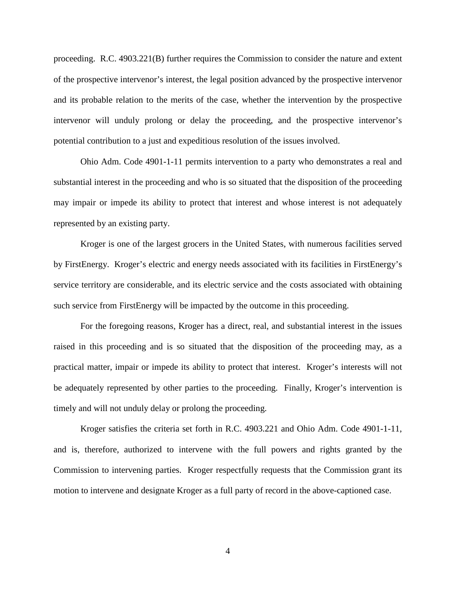proceeding. R.C. 4903.221(B) further requires the Commission to consider the nature and extent of the prospective intervenor's interest, the legal position advanced by the prospective intervenor and its probable relation to the merits of the case, whether the intervention by the prospective intervenor will unduly prolong or delay the proceeding, and the prospective intervenor's potential contribution to a just and expeditious resolution of the issues involved.

 Ohio Adm. Code 4901-1-11 permits intervention to a party who demonstrates a real and substantial interest in the proceeding and who is so situated that the disposition of the proceeding may impair or impede its ability to protect that interest and whose interest is not adequately represented by an existing party.

 Kroger is one of the largest grocers in the United States, with numerous facilities served by FirstEnergy. Kroger's electric and energy needs associated with its facilities in FirstEnergy's service territory are considerable, and its electric service and the costs associated with obtaining such service from FirstEnergy will be impacted by the outcome in this proceeding.

For the foregoing reasons, Kroger has a direct, real, and substantial interest in the issues raised in this proceeding and is so situated that the disposition of the proceeding may, as a practical matter, impair or impede its ability to protect that interest. Kroger's interests will not be adequately represented by other parties to the proceeding. Finally, Kroger's intervention is timely and will not unduly delay or prolong the proceeding.

 Kroger satisfies the criteria set forth in R.C. 4903.221 and Ohio Adm. Code 4901-1-11, and is, therefore, authorized to intervene with the full powers and rights granted by the Commission to intervening parties. Kroger respectfully requests that the Commission grant its motion to intervene and designate Kroger as a full party of record in the above-captioned case.

4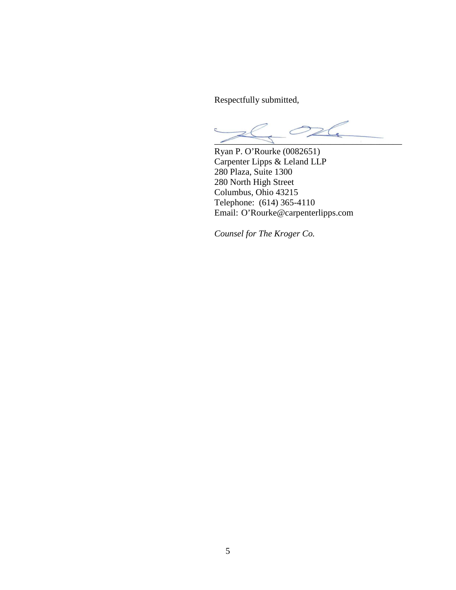Respectfully submitted,

 $\geq$  $\angle$ 

Ryan P. O'Rourke (0082651) Carpenter Lipps & Leland LLP 280 Plaza, Suite 1300 280 North High Street Columbus, Ohio 43215 Telephone: (614) 365-4110 Email: O'Rourke@carpenterlipps.com

*Counsel for The Kroger Co.*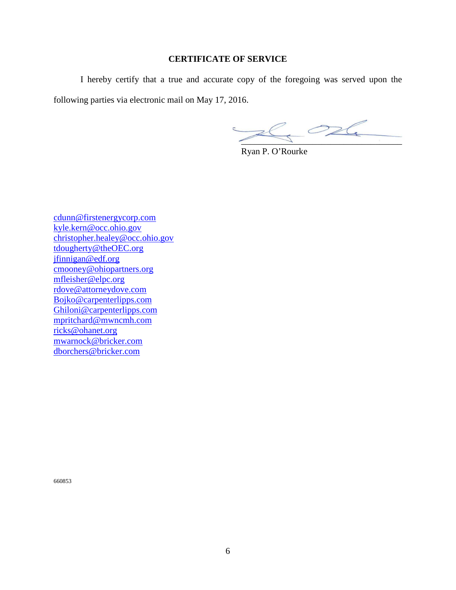### **CERTIFICATE OF SERVICE**

 I hereby certify that a true and accurate copy of the foregoing was served upon the following parties via electronic mail on May 17, 2016.

 $Z$ 

Ryan P. O'Rourke

cdunn@firstenergycorp.com kyle.kern@occ.ohio.gov christopher.healey@occ.ohio.gov tdougherty@theOEC.org jfinnigan@edf.org cmooney@ohiopartners.org mfleisher@elpc.org rdove@attorneydove.com Bojko@carpenterlipps.com Ghiloni@carpenterlipps.com mpritchard@mwncmh.com ricks@ohanet.org mwarnock@bricker.com dborchers@bricker.com

660853